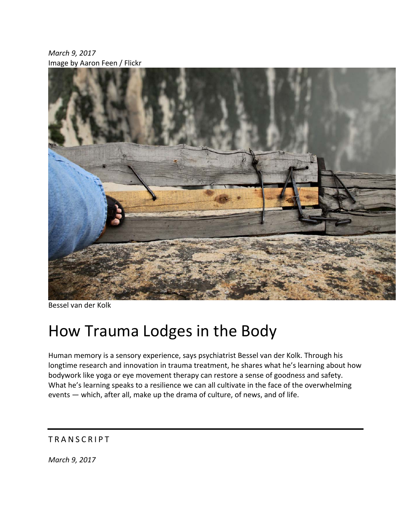*March 9, 2017* Image by Aaron Feen / Flickr



Bessel van der Kolk

# How Trauma Lodges in the Body

Human memory is a sensory experience, says psychiatrist Bessel van der Kolk. Through his longtime research and innovation in trauma treatment, he shares what he's learning about how bodywork like yoga or eye movement therapy can restore a sense of goodness and safety. What he's learning speaks to a resilience we can all cultivate in the face of the overwhelming events — which, after all, make up the drama of culture, of news, and of life.

## TRANSCRIPT

*March 9, 2017*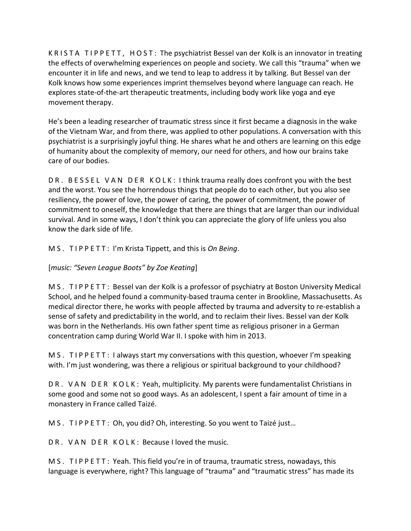K R I S T A T I P P E T T, H O S T : The psychiatrist Bessel van der Kolk is an innovator in treating the effects of overwhelming experiences on people and society. We call this "trauma" when we encounter it in life and news, and we tend to leap to address it by talking. But Bessel van der Kolk knows how some experiences imprint themselves beyond where language can reach. He explores state-of-the-art therapeutic treatments, including body work like yoga and eye movement therapy.

He's been a leading researcher of traumatic stress since it first became a diagnosis in the wake of the Vietnam War, and from there, was applied to other populations. A conversation with this psychiatrist is a surprisingly joyful thing. He shares what he and others are learning on this edge of humanity about the complexity of memory, our need for others, and how our brains take care of our bodies.

DR. BESSEL VAN DER KOLK: I think trauma really does confront you with the best and the worst. You see the horrendous things that people do to each other, but you also see resiliency, the power of love, the power of caring, the power of commitment, the power of commitment to oneself, the knowledge that there are things that are larger than our individual survival. And in some ways, I don't think you can appreciate the glory of life unless you also know the dark side of life.

M S . T I P P E T T : I'm Krista Tippett, and this is *On Being*.

## [*music: "Seven League Boots" by Zoe Keating*]

M S . TIPPETT: Bessel van der Kolk is a professor of psychiatry at Boston University Medical School, and he helped found a community‐based trauma center in Brookline, Massachusetts. As medical director there, he works with people affected by trauma and adversity to re‐establish a sense of safety and predictability in the world, and to reclaim their lives. Bessel van der Kolk was born in the Netherlands. His own father spent time as religious prisoner in a German concentration camp during World War II. I spoke with him in 2013.

M S . T I P P E T T : I always start my conversations with this question, whoever I'm speaking with. I'm just wondering, was there a religious or spiritual background to your childhood?

DR. VAN DER KOLK: Yeah, multiplicity. My parents were fundamentalist Christians in some good and some not so good ways. As an adolescent, I spent a fair amount of time in a monastery in France called Taizé.

M S . T I P P E T T : Oh, you did? Oh, interesting. So you went to Taizé just...

DR. VAN DER KOLK: Because I loved the music.

M S . T I P P E T T : Yeah. This field you're in of trauma, traumatic stress, nowadays, this language is everywhere, right? This language of "trauma" and "traumatic stress" has made its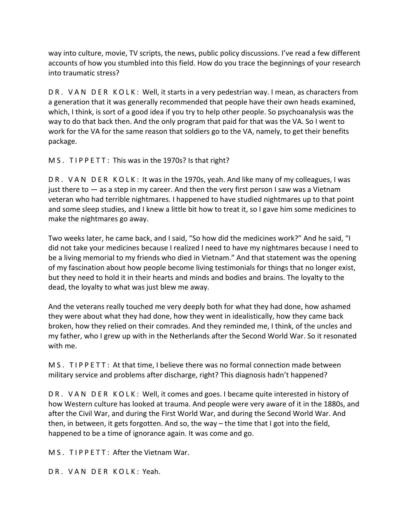way into culture, movie, TV scripts, the news, public policy discussions. I've read a few different accounts of how you stumbled into this field. How do you trace the beginnings of your research into traumatic stress?

DR. VAN DER KOLK: Well, it starts in a very pedestrian way. I mean, as characters from a generation that it was generally recommended that people have their own heads examined, which, I think, is sort of a good idea if you try to help other people. So psychoanalysis was the way to do that back then. And the only program that paid for that was the VA. So I went to work for the VA for the same reason that soldiers go to the VA, namely, to get their benefits package.

M S . TIP P E TT : This was in the 1970s? Is that right?

DR. VAN DER KOLK: It was in the 1970s, yeah. And like many of my colleagues, I was just there to — as a step in my career. And then the very first person I saw was a Vietnam veteran who had terrible nightmares. I happened to have studied nightmares up to that point and some sleep studies, and I knew a little bit how to treat it, so I gave him some medicines to make the nightmares go away.

Two weeks later, he came back, and I said, "So how did the medicines work?" And he said, "I did not take your medicines because I realized I need to have my nightmares because I need to be a living memorial to my friends who died in Vietnam." And that statement was the opening of my fascination about how people become living testimonials for things that no longer exist, but they need to hold it in their hearts and minds and bodies and brains. The loyalty to the dead, the loyalty to what was just blew me away.

And the veterans really touched me very deeply both for what they had done, how ashamed they were about what they had done, how they went in idealistically, how they came back broken, how they relied on their comrades. And they reminded me, I think, of the uncles and my father, who I grew up with in the Netherlands after the Second World War. So it resonated with me.

M S . TIPPETT: At that time, I believe there was no formal connection made between military service and problems after discharge, right? This diagnosis hadn't happened?

DR. VAN DER KOLK: Well, it comes and goes. I became quite interested in history of how Western culture has looked at trauma. And people were very aware of it in the 1880s, and after the Civil War, and during the First World War, and during the Second World War. And then, in between, it gets forgotten. And so, the way – the time that I got into the field, happened to be a time of ignorance again. It was come and go.

M S. TIP PETT: After the Vietnam War.

DR. VAN DER KOLK: Yeah.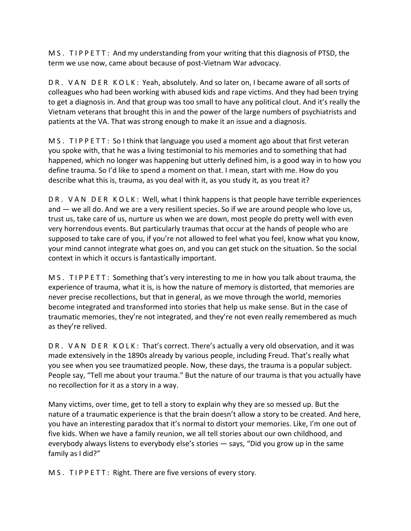M S . T I P P E T T : And my understanding from your writing that this diagnosis of PTSD, the term we use now, came about because of post‐Vietnam War advocacy.

DR. VAN DER KOLK: Yeah, absolutely. And so later on, I became aware of all sorts of colleagues who had been working with abused kids and rape victims. And they had been trying to get a diagnosis in. And that group was too small to have any political clout. And it's really the Vietnam veterans that brought this in and the power of the large numbers of psychiatrists and patients at the VA. That was strong enough to make it an issue and a diagnosis.

M S . T I P P E T T : So I think that language you used a moment ago about that first veteran you spoke with, that he was a living testimonial to his memories and to something that had happened, which no longer was happening but utterly defined him, is a good way in to how you define trauma. So I'd like to spend a moment on that. I mean, start with me. How do you describe what this is, trauma, as you deal with it, as you study it, as you treat it?

DR. VAN DER KOLK: Well, what I think happens is that people have terrible experiences and — we all do. And we are a very resilient species. So if we are around people who love us, trust us, take care of us, nurture us when we are down, most people do pretty well with even very horrendous events. But particularly traumas that occur at the hands of people who are supposed to take care of you, if you're not allowed to feel what you feel, know what you know, your mind cannot integrate what goes on, and you can get stuck on the situation. So the social context in which it occurs is fantastically important.

M S . T I P P E T T : Something that's very interesting to me in how you talk about trauma, the experience of trauma, what it is, is how the nature of memory is distorted, that memories are never precise recollections, but that in general, as we move through the world, memories become integrated and transformed into stories that help us make sense. But in the case of traumatic memories, they're not integrated, and they're not even really remembered as much as they're relived.

DR. VAN DER KOLK: That's correct. There's actually a very old observation, and it was made extensively in the 1890s already by various people, including Freud. That's really what you see when you see traumatized people. Now, these days, the trauma is a popular subject. People say, "Tell me about your trauma." But the nature of our trauma is that you actually have no recollection for it as a story in a way.

Many victims, over time, get to tell a story to explain why they are so messed up. But the nature of a traumatic experience is that the brain doesn't allow a story to be created. And here, you have an interesting paradox that it's normal to distort your memories. Like, I'm one out of five kids. When we have a family reunion, we all tell stories about our own childhood, and everybody always listens to everybody else's stories — says, "Did you grow up in the same family as I did?"

M S . TIP P E T T : Right. There are five versions of every story.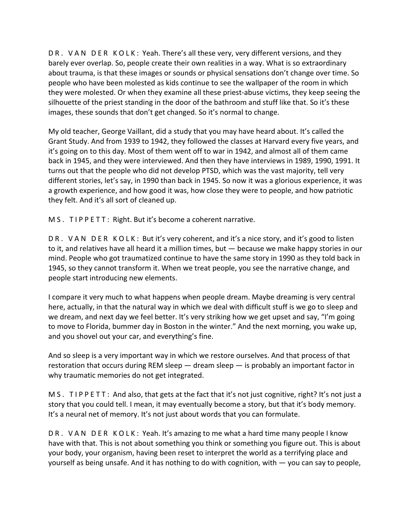DR. VAN DER KOLK: Yeah. There's all these very, very different versions, and they barely ever overlap. So, people create their own realities in a way. What is so extraordinary about trauma, is that these images or sounds or physical sensations don't change over time. So people who have been molested as kids continue to see the wallpaper of the room in which they were molested. Or when they examine all these priest‐abuse victims, they keep seeing the silhouette of the priest standing in the door of the bathroom and stuff like that. So it's these images, these sounds that don't get changed. So it's normal to change.

My old teacher, George Vaillant, did a study that you may have heard about. It's called the Grant Study. And from 1939 to 1942, they followed the classes at Harvard every five years, and it's going on to this day. Most of them went off to war in 1942, and almost all of them came back in 1945, and they were interviewed. And then they have interviews in 1989, 1990, 1991. It turns out that the people who did not develop PTSD, which was the vast majority, tell very different stories, let's say, in 1990 than back in 1945. So now it was a glorious experience, it was a growth experience, and how good it was, how close they were to people, and how patriotic they felt. And it's all sort of cleaned up.

M S . TIP P E T T : Right. But it's become a coherent narrative.

D R . V A N D E R K O L K : But it's very coherent, and it's a nice story, and it's good to listen to it, and relatives have all heard it a million times, but — because we make happy stories in our mind. People who got traumatized continue to have the same story in 1990 as they told back in 1945, so they cannot transform it. When we treat people, you see the narrative change, and people start introducing new elements.

I compare it very much to what happens when people dream. Maybe dreaming is very central here, actually, in that the natural way in which we deal with difficult stuff is we go to sleep and we dream, and next day we feel better. It's very striking how we get upset and say, "I'm going to move to Florida, bummer day in Boston in the winter." And the next morning, you wake up, and you shovel out your car, and everything's fine.

And so sleep is a very important way in which we restore ourselves. And that process of that restoration that occurs during REM sleep — dream sleep — is probably an important factor in why traumatic memories do not get integrated.

M S . T I P P E T T : And also, that gets at the fact that it's not just cognitive, right? It's not just a story that you could tell. I mean, it may eventually become a story, but that it's body memory. It's a neural net of memory. It's not just about words that you can formulate.

D R . V A N D E R K O L K : Yeah. It's amazing to me what a hard time many people I know have with that. This is not about something you think or something you figure out. This is about your body, your organism, having been reset to interpret the world as a terrifying place and yourself as being unsafe. And it has nothing to do with cognition, with — you can say to people,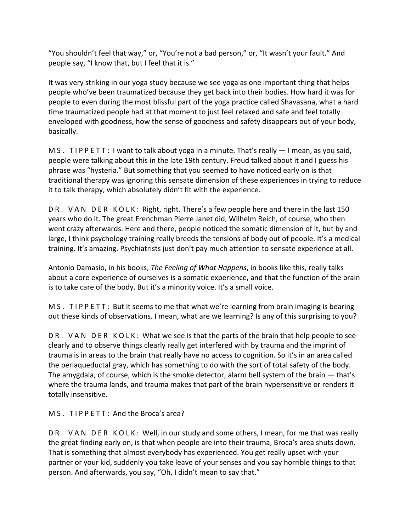"You shouldn't feel that way," or, "You're not a bad person," or, "It wasn't your fault." And people say, "I know that, but I feel that it is."

It was very striking in our yoga study because we see yoga as one important thing that helps people who've been traumatized because they get back into their bodies. How hard it was for people to even during the most blissful part of the yoga practice called Shavasana, what a hard time traumatized people had at that moment to just feel relaxed and safe and feel totally enveloped with goodness, how the sense of goodness and safety disappears out of your body, basically.

M S . T I P P E T T : I want to talk about yoga in a minute. That's really  $-1$  mean, as you said, people were talking about this in the late 19th century. Freud talked about it and I guess his phrase was "hysteria." But something that you seemed to have noticed early on is that traditional therapy was ignoring this sensate dimension of these experiences in trying to reduce it to talk therapy, which absolutely didn't fit with the experience.

DR. VAN DER KOLK: Right, right. There's a few people here and there in the last 150 years who do it. The great Frenchman Pierre Janet did, Wilhelm Reich, of course, who then went crazy afterwards. Here and there, people noticed the somatic dimension of it, but by and large, I think psychology training really breeds the tensions of body out of people. It's a medical training. It's amazing. Psychiatrists just don't pay much attention to sensate experience at all.

Antonio Damasio, in his books, *The Feeling of What Happens*, in books like this, really talks about a core experience of ourselves is a somatic experience, and that the function of the brain is to take care of the body. But it's a minority voice. It's a small voice.

M S . T I P P E T T : But it seems to me that what we're learning from brain imaging is bearing out these kinds of observations. I mean, what are we learning? Is any of this surprising to you?

DR. VAN DER KOLK: What we see is that the parts of the brain that help people to see clearly and to observe things clearly really get interfered with by trauma and the imprint of trauma is in areas to the brain that really have no access to cognition. So it's in an area called the periaqueductal gray, which has something to do with the sort of total safety of the body. The amygdala, of course, which is the smoke detector, alarm bell system of the brain — that's where the trauma lands, and trauma makes that part of the brain hypersensitive or renders it totally insensitive.

M S. TIP P E TT: And the Broca's area?

DR. VAN DER KOLK: Well, in our study and some others, I mean, for me that was really the great finding early on, is that when people are into their trauma, Broca's area shuts down. That is something that almost everybody has experienced. You get really upset with your partner or your kid, suddenly you take leave of your senses and you say horrible things to that person. And afterwards, you say, "Oh, I didn't mean to say that."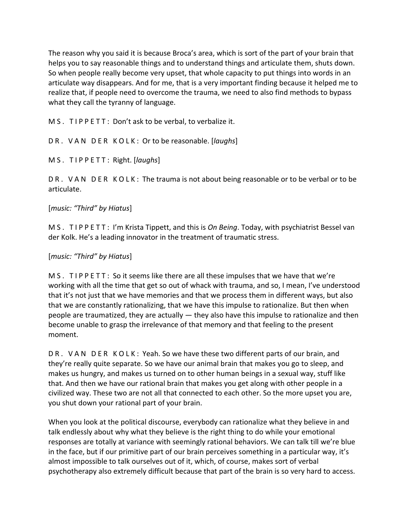The reason why you said it is because Broca's area, which is sort of the part of your brain that helps you to say reasonable things and to understand things and articulate them, shuts down. So when people really become very upset, that whole capacity to put things into words in an articulate way disappears. And for me, that is a very important finding because it helped me to realize that, if people need to overcome the trauma, we need to also find methods to bypass what they call the tyranny of language.

M S . TIP P E TT : Don't ask to be verbal, to verbalize it.

D R . V A N D E R K O L K : Or to be reasonable. [*laughs*]

M S . T I P P E T T : Right. [*laughs*]

DR. VAN DER KOLK: The trauma is not about being reasonable or to be verbal or to be articulate.

#### [*music: "Third" by Hiatus*]

M S . T I P P E T T : I'm Krista Tippett, and this is *On Being*. Today, with psychiatrist Bessel van der Kolk. He's a leading innovator in the treatment of traumatic stress.

#### [*music: "Third" by Hiatus*]

M S . T I P P E T T : So it seems like there are all these impulses that we have that we're working with all the time that get so out of whack with trauma, and so, I mean, I've understood that it's not just that we have memories and that we process them in different ways, but also that we are constantly rationalizing, that we have this impulse to rationalize. But then when people are traumatized, they are actually — they also have this impulse to rationalize and then become unable to grasp the irrelevance of that memory and that feeling to the present moment.

DR. VAN DER KOLK: Yeah. So we have these two different parts of our brain, and they're really quite separate. So we have our animal brain that makes you go to sleep, and makes us hungry, and makes us turned on to other human beings in a sexual way, stuff like that. And then we have our rational brain that makes you get along with other people in a civilized way. These two are not all that connected to each other. So the more upset you are, you shut down your rational part of your brain.

When you look at the political discourse, everybody can rationalize what they believe in and talk endlessly about why what they believe is the right thing to do while your emotional responses are totally at variance with seemingly rational behaviors. We can talk till we're blue in the face, but if our primitive part of our brain perceives something in a particular way, it's almost impossible to talk ourselves out of it, which, of course, makes sort of verbal psychotherapy also extremely difficult because that part of the brain is so very hard to access.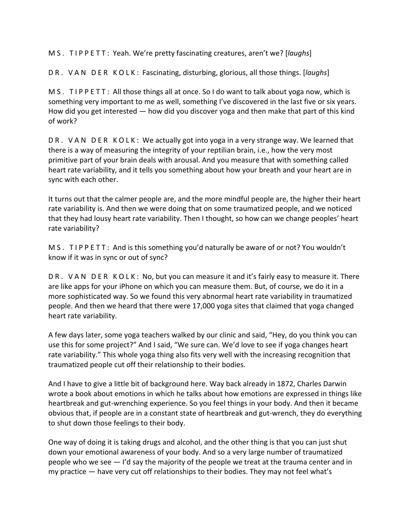M S . T I P P E T T : Yeah. We're pretty fascinating creatures, aren't we? [*laughs*]

D R . V A N D E R K O L K : Fascinating, disturbing, glorious, all those things. [*laughs*]

M S . TIPPETT: All those things all at once. So I do want to talk about yoga now, which is something very important to me as well, something I've discovered in the last five or six years. How did you get interested — how did you discover yoga and then make that part of this kind of work?

DR. VAN DER KOLK: We actually got into yoga in a very strange way. We learned that there is a way of measuring the integrity of your reptilian brain, i.e., how the very most primitive part of your brain deals with arousal. And you measure that with something called heart rate variability, and it tells you something about how your breath and your heart are in sync with each other.

It turns out that the calmer people are, and the more mindful people are, the higher their heart rate variability is. And then we were doing that on some traumatized people, and we noticed that they had lousy heart rate variability. Then I thought, so how can we change peoples' heart rate variability?

M S . T I P P E T T : And is this something you'd naturally be aware of or not? You wouldn't know if it was in sync or out of sync?

DR. VAN DER KOLK: No, but you can measure it and it's fairly easy to measure it. There are like apps for your iPhone on which you can measure them. But, of course, we do it in a more sophisticated way. So we found this very abnormal heart rate variability in traumatized people. And then we heard that there were 17,000 yoga sites that claimed that yoga changed heart rate variability.

A few days later, some yoga teachers walked by our clinic and said, "Hey, do you think you can use this for some project?" And I said, "We sure can. We'd love to see if yoga changes heart rate variability." This whole yoga thing also fits very well with the increasing recognition that traumatized people cut off their relationship to their bodies.

And I have to give a little bit of background here. Way back already in 1872, Charles Darwin wrote a book about emotions in which he talks about how emotions are expressed in things like heartbreak and gut‐wrenching experience. So you feel things in your body. And then it became obvious that, if people are in a constant state of heartbreak and gut‐wrench, they do everything to shut down those feelings to their body.

One way of doing it is taking drugs and alcohol, and the other thing is that you can just shut down your emotional awareness of your body. And so a very large number of traumatized people who we see — I'd say the majority of the people we treat at the trauma center and in my practice — have very cut off relationships to their bodies. They may not feel what's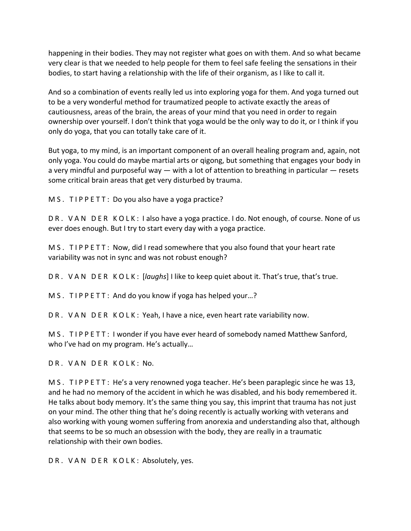happening in their bodies. They may not register what goes on with them. And so what became very clear is that we needed to help people for them to feel safe feeling the sensations in their bodies, to start having a relationship with the life of their organism, as I like to call it.

And so a combination of events really led us into exploring yoga for them. And yoga turned out to be a very wonderful method for traumatized people to activate exactly the areas of cautiousness, areas of the brain, the areas of your mind that you need in order to regain ownership over yourself. I don't think that yoga would be the only way to do it, or I think if you only do yoga, that you can totally take care of it.

But yoga, to my mind, is an important component of an overall healing program and, again, not only yoga. You could do maybe martial arts or qigong, but something that engages your body in a very mindful and purposeful way  $-$  with a lot of attention to breathing in particular  $-$  resets some critical brain areas that get very disturbed by trauma.

M S . TIP P E T T : Do you also have a yoga practice?

D R . V A N D E R K O L K : I also have a yoga practice. I do. Not enough, of course. None of us ever does enough. But I try to start every day with a yoga practice.

M S . T I P P E T T : Now, did I read somewhere that you also found that your heart rate variability was not in sync and was not robust enough?

D R . V A N D E R K O L K : [*laughs*] I like to keep quiet about it. That's true, that's true.

M S. TIP P E TT: And do you know if yoga has helped your...?

DR. VAN DER KOLK: Yeah, I have a nice, even heart rate variability now.

M S. TIPPETT: I wonder if you have ever heard of somebody named Matthew Sanford, who I've had on my program. He's actually…

DR. VAN DER KOLK: No.

M S . T I P P E T T : He's a very renowned yoga teacher. He's been paraplegic since he was 13, and he had no memory of the accident in which he was disabled, and his body remembered it. He talks about body memory. It's the same thing you say, this imprint that trauma has not just on your mind. The other thing that he's doing recently is actually working with veterans and also working with young women suffering from anorexia and understanding also that, although that seems to be so much an obsession with the body, they are really in a traumatic relationship with their own bodies.

DR. VAN DER KOLK: Absolutely, yes.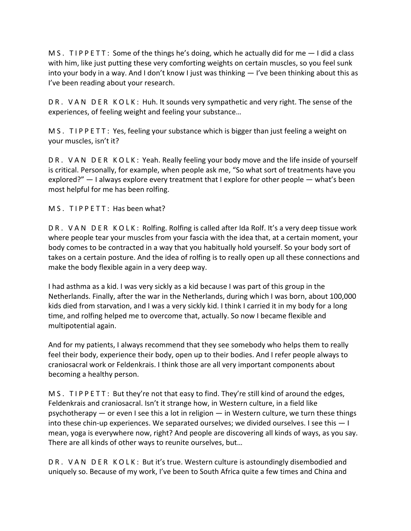M S . T I P P E T T : Some of the things he's doing, which he actually did for me  $-1$  did a class with him, like just putting these very comforting weights on certain muscles, so you feel sunk into your body in a way. And I don't know I just was thinking — I've been thinking about this as I've been reading about your research.

DR. VAN DER KOLK: Huh. It sounds very sympathetic and very right. The sense of the experiences, of feeling weight and feeling your substance…

M S . T I P P E T T : Yes, feeling your substance which is bigger than just feeling a weight on your muscles, isn't it?

DR. VAN DER KOLK: Yeah. Really feeling your body move and the life inside of yourself is critical. Personally, for example, when people ask me, "So what sort of treatments have you explored?" — I always explore every treatment that I explore for other people — what's been most helpful for me has been rolfing.

M S. TIPPETT: Has been what?

DR. VAN DER KOLK: Rolfing. Rolfing is called after Ida Rolf. It's a very deep tissue work where people tear your muscles from your fascia with the idea that, at a certain moment, your body comes to be contracted in a way that you habitually hold yourself. So your body sort of takes on a certain posture. And the idea of rolfing is to really open up all these connections and make the body flexible again in a very deep way.

I had asthma as a kid. I was very sickly as a kid because I was part of this group in the Netherlands. Finally, after the war in the Netherlands, during which I was born, about 100,000 kids died from starvation, and I was a very sickly kid. I think I carried it in my body for a long time, and rolfing helped me to overcome that, actually. So now I became flexible and multipotential again.

And for my patients, I always recommend that they see somebody who helps them to really feel their body, experience their body, open up to their bodies. And I refer people always to craniosacral work or Feldenkrais. I think those are all very important components about becoming a healthy person.

M S . T I P P E T T : But they're not that easy to find. They're still kind of around the edges, Feldenkrais and craniosacral. Isn't it strange how, in Western culture, in a field like psychotherapy — or even I see this a lot in religion — in Western culture, we turn these things into these chin-up experiences. We separated ourselves; we divided ourselves. I see this  $-1$ mean, yoga is everywhere now, right? And people are discovering all kinds of ways, as you say. There are all kinds of other ways to reunite ourselves, but…

DR. VAN DER KOLK: But it's true. Western culture is astoundingly disembodied and uniquely so. Because of my work, I've been to South Africa quite a few times and China and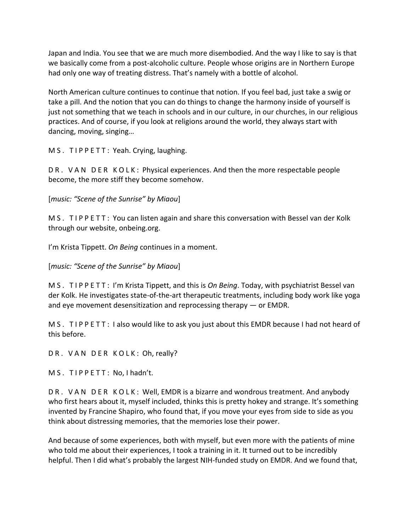Japan and India. You see that we are much more disembodied. And the way I like to say is that we basically come from a post-alcoholic culture. People whose origins are in Northern Europe had only one way of treating distress. That's namely with a bottle of alcohol.

North American culture continues to continue that notion. If you feel bad, just take a swig or take a pill. And the notion that you can do things to change the harmony inside of yourself is just not something that we teach in schools and in our culture, in our churches, in our religious practices. And of course, if you look at religions around the world, they always start with dancing, moving, singing…

M S. TIPPETT: Yeah. Crying, laughing.

D R . V A N D E R K O L K : Physical experiences. And then the more respectable people become, the more stiff they become somehow.

[*music: "Scene of the Sunrise" by Miaou*]

M S . T I P P E T T : You can listen again and share this conversation with Bessel van der Kolk through our website, onbeing.org.

I'm Krista Tippett. *On Being* continues in a moment.

[*music: "Scene of the Sunrise" by Miaou*]

M S . T I P P E T T : I'm Krista Tippett, and this is *On Being*. Today, with psychiatrist Bessel van der Kolk. He investigates state‐of‐the‐art therapeutic treatments, including body work like yoga and eye movement desensitization and reprocessing therapy — or EMDR.

M S . T I P P E T T : I also would like to ask you just about this EMDR because I had not heard of this before.

DR. VAN DER KOLK: Oh, really?

M S. TIPPETT: No, I hadn't.

DR. VAN DER KOLK: Well, EMDR is a bizarre and wondrous treatment. And anybody who first hears about it, myself included, thinks this is pretty hokey and strange. It's something invented by Francine Shapiro, who found that, if you move your eyes from side to side as you think about distressing memories, that the memories lose their power.

And because of some experiences, both with myself, but even more with the patients of mine who told me about their experiences, I took a training in it. It turned out to be incredibly helpful. Then I did what's probably the largest NIH‐funded study on EMDR. And we found that,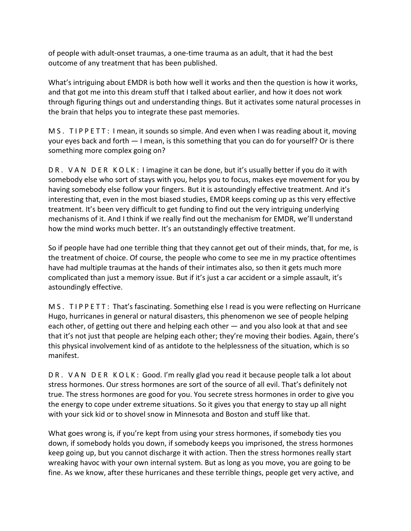of people with adult‐onset traumas, a one‐time trauma as an adult, that it had the best outcome of any treatment that has been published.

What's intriguing about EMDR is both how well it works and then the question is how it works, and that got me into this dream stuff that I talked about earlier, and how it does not work through figuring things out and understanding things. But it activates some natural processes in the brain that helps you to integrate these past memories.

M S . T I P P E T T : I mean, it sounds so simple. And even when I was reading about it, moving your eyes back and forth — I mean, is this something that you can do for yourself? Or is there something more complex going on?

DR. VAN DER KOLK: I imagine it can be done, but it's usually better if you do it with somebody else who sort of stays with you, helps you to focus, makes eye movement for you by having somebody else follow your fingers. But it is astoundingly effective treatment. And it's interesting that, even in the most biased studies, EMDR keeps coming up as this very effective treatment. It's been very difficult to get funding to find out the very intriguing underlying mechanisms of it. And I think if we really find out the mechanism for EMDR, we'll understand how the mind works much better. It's an outstandingly effective treatment.

So if people have had one terrible thing that they cannot get out of their minds, that, for me, is the treatment of choice. Of course, the people who come to see me in my practice oftentimes have had multiple traumas at the hands of their intimates also, so then it gets much more complicated than just a memory issue. But if it's just a car accident or a simple assault, it's astoundingly effective.

M S . T I P P E T T : That's fascinating. Something else I read is you were reflecting on Hurricane Hugo, hurricanes in general or natural disasters, this phenomenon we see of people helping each other, of getting out there and helping each other — and you also look at that and see that it's not just that people are helping each other; they're moving their bodies. Again, there's this physical involvement kind of as antidote to the helplessness of the situation, which is so manifest.

DR. VAN DER KOLK: Good. I'm really glad you read it because people talk a lot about stress hormones. Our stress hormones are sort of the source of all evil. That's definitely not true. The stress hormones are good for you. You secrete stress hormones in order to give you the energy to cope under extreme situations. So it gives you that energy to stay up all night with your sick kid or to shovel snow in Minnesota and Boston and stuff like that.

What goes wrong is, if you're kept from using your stress hormones, if somebody ties you down, if somebody holds you down, if somebody keeps you imprisoned, the stress hormones keep going up, but you cannot discharge it with action. Then the stress hormones really start wreaking havoc with your own internal system. But as long as you move, you are going to be fine. As we know, after these hurricanes and these terrible things, people get very active, and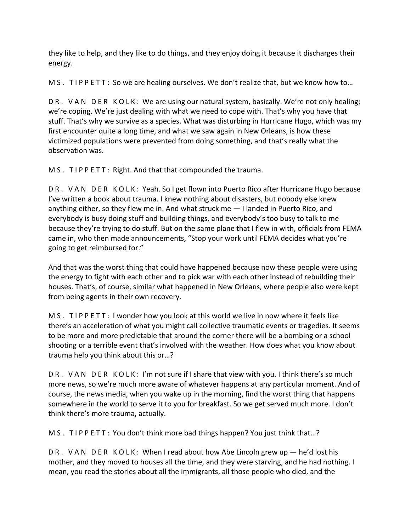they like to help, and they like to do things, and they enjoy doing it because it discharges their energy.

M S . T I P P E T T : So we are healing ourselves. We don't realize that, but we know how to...

DR. VAN DER KOLK: We are using our natural system, basically. We're not only healing; we're coping. We're just dealing with what we need to cope with. That's why you have that stuff. That's why we survive as a species. What was disturbing in Hurricane Hugo, which was my first encounter quite a long time, and what we saw again in New Orleans, is how these victimized populations were prevented from doing something, and that's really what the observation was.

M S . TIP P E TT : Right. And that that compounded the trauma.

D R . V A N D E R K O L K : Yeah. So I get flown into Puerto Rico after Hurricane Hugo because I've written a book about trauma. I knew nothing about disasters, but nobody else knew anything either, so they flew me in. And what struck me — I landed in Puerto Rico, and everybody is busy doing stuff and building things, and everybody's too busy to talk to me because they're trying to do stuff. But on the same plane that I flew in with, officials from FEMA came in, who then made announcements, "Stop your work until FEMA decides what you're going to get reimbursed for."

And that was the worst thing that could have happened because now these people were using the energy to fight with each other and to pick war with each other instead of rebuilding their houses. That's, of course, similar what happened in New Orleans, where people also were kept from being agents in their own recovery.

M S . T I P P E T T : I wonder how you look at this world we live in now where it feels like there's an acceleration of what you might call collective traumatic events or tragedies. It seems to be more and more predictable that around the corner there will be a bombing or a school shooting or a terrible event that's involved with the weather. How does what you know about trauma help you think about this or…?

DR. VAN DER KOLK: I'm not sure if I share that view with you. I think there's so much more news, so we're much more aware of whatever happens at any particular moment. And of course, the news media, when you wake up in the morning, find the worst thing that happens somewhere in the world to serve it to you for breakfast. So we get served much more. I don't think there's more trauma, actually.

M S . T I P P E T T : You don't think more bad things happen? You just think that...?

DR. VAN DER KOLK: When I read about how Abe Lincoln grew up — he'd lost his mother, and they moved to houses all the time, and they were starving, and he had nothing. I mean, you read the stories about all the immigrants, all those people who died, and the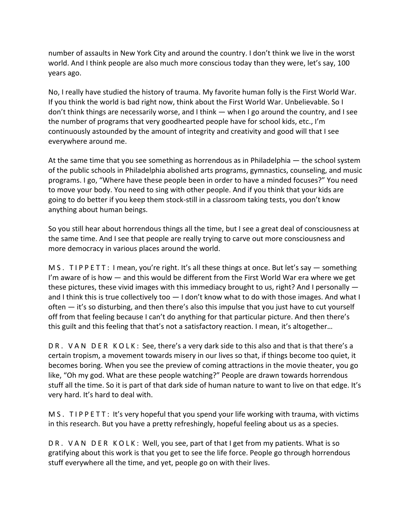number of assaults in New York City and around the country. I don't think we live in the worst world. And I think people are also much more conscious today than they were, let's say, 100 years ago.

No, I really have studied the history of trauma. My favorite human folly is the First World War. If you think the world is bad right now, think about the First World War. Unbelievable. So I don't think things are necessarily worse, and I think — when I go around the country, and I see the number of programs that very goodhearted people have for school kids, etc., I'm continuously astounded by the amount of integrity and creativity and good will that I see everywhere around me.

At the same time that you see something as horrendous as in Philadelphia — the school system of the public schools in Philadelphia abolished arts programs, gymnastics, counseling, and music programs. I go, "Where have these people been in order to have a minded focuses?" You need to move your body. You need to sing with other people. And if you think that your kids are going to do better if you keep them stock‐still in a classroom taking tests, you don't know anything about human beings.

So you still hear about horrendous things all the time, but I see a great deal of consciousness at the same time. And I see that people are really trying to carve out more consciousness and more democracy in various places around the world.

M S . T I P P E T T : I mean, you're right. It's all these things at once. But let's say — something I'm aware of is how  $-$  and this would be different from the First World War era where we get these pictures, these vivid images with this immediacy brought to us, right? And I personally and I think this is true collectively too  $-1$  don't know what to do with those images. And what I often — it's so disturbing, and then there's also this impulse that you just have to cut yourself off from that feeling because I can't do anything for that particular picture. And then there's this guilt and this feeling that that's not a satisfactory reaction. I mean, it's altogether…

DR. VAN DER KOLK: See, there's a very dark side to this also and that is that there's a certain tropism, a movement towards misery in our lives so that, if things become too quiet, it becomes boring. When you see the preview of coming attractions in the movie theater, you go like, "Oh my god. What are these people watching?" People are drawn towards horrendous stuff all the time. So it is part of that dark side of human nature to want to live on that edge. It's very hard. It's hard to deal with.

M S . T I P P E T T : It's very hopeful that you spend your life working with trauma, with victims in this research. But you have a pretty refreshingly, hopeful feeling about us as a species.

DR. VAN DER KOLK: Well, you see, part of that I get from my patients. What is so gratifying about this work is that you get to see the life force. People go through horrendous stuff everywhere all the time, and yet, people go on with their lives.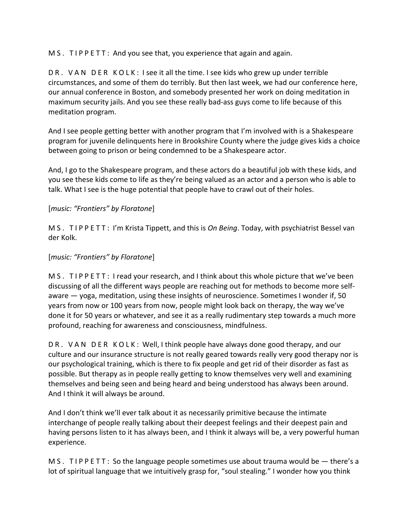M S . TIP P E TT : And you see that, you experience that again and again.

DR. VAN DER KOLK: I see it all the time. I see kids who grew up under terrible circumstances, and some of them do terribly. But then last week, we had our conference here, our annual conference in Boston, and somebody presented her work on doing meditation in maximum security jails. And you see these really bad‐ass guys come to life because of this meditation program.

And I see people getting better with another program that I'm involved with is a Shakespeare program for juvenile delinquents here in Brookshire County where the judge gives kids a choice between going to prison or being condemned to be a Shakespeare actor.

And, I go to the Shakespeare program, and these actors do a beautiful job with these kids, and you see these kids come to life as they're being valued as an actor and a person who is able to talk. What I see is the huge potential that people have to crawl out of their holes.

#### [*music: "Frontiers" by Floratone*]

M S . T I P P E T T : I'm Krista Tippett, and this is *On Being*. Today, with psychiatrist Bessel van der Kolk.

#### [*music: "Frontiers" by Floratone*]

M S . TIP P E TT : I read your research, and I think about this whole picture that we've been discussing of all the different ways people are reaching out for methods to become more self‐ aware — yoga, meditation, using these insights of neuroscience. Sometimes I wonder if, 50 years from now or 100 years from now, people might look back on therapy, the way we've done it for 50 years or whatever, and see it as a really rudimentary step towards a much more profound, reaching for awareness and consciousness, mindfulness.

DR. VAN DER KOLK: Well, I think people have always done good therapy, and our culture and our insurance structure is not really geared towards really very good therapy nor is our psychological training, which is there to fix people and get rid of their disorder as fast as possible. But therapy as in people really getting to know themselves very well and examining themselves and being seen and being heard and being understood has always been around. And I think it will always be around.

And I don't think we'll ever talk about it as necessarily primitive because the intimate interchange of people really talking about their deepest feelings and their deepest pain and having persons listen to it has always been, and I think it always will be, a very powerful human experience.

M S . T I P P E T T : So the language people sometimes use about trauma would be  $-$  there's a lot of spiritual language that we intuitively grasp for, "soul stealing." I wonder how you think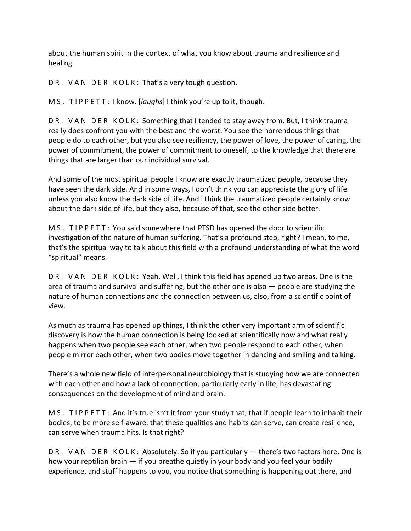about the human spirit in the context of what you know about trauma and resilience and healing.

DR. VAN DER KOLK: That's a very tough question.

M S . T I P P E T T : I know. [*laughs*] I think you're up to it, though.

DR. VAN DER KOLK: Something that I tended to stay away from. But, I think trauma really does confront you with the best and the worst. You see the horrendous things that people do to each other, but you also see resiliency, the power of love, the power of caring, the power of commitment, the power of commitment to oneself, to the knowledge that there are things that are larger than our individual survival.

And some of the most spiritual people I know are exactly traumatized people, because they have seen the dark side. And in some ways, I don't think you can appreciate the glory of life unless you also know the dark side of life. And I think the traumatized people certainly know about the dark side of life, but they also, because of that, see the other side better.

M S . T I P P E T T : You said somewhere that PTSD has opened the door to scientific investigation of the nature of human suffering. That's a profound step, right? I mean, to me, that's the spiritual way to talk about this field with a profound understanding of what the word "spiritual" means.

DR. VAN DER KOLK: Yeah. Well, I think this field has opened up two areas. One is the area of trauma and survival and suffering, but the other one is also — people are studying the nature of human connections and the connection between us, also, from a scientific point of view.

As much as trauma has opened up things, I think the other very important arm of scientific discovery is how the human connection is being looked at scientifically now and what really happens when two people see each other, when two people respond to each other, when people mirror each other, when two bodies move together in dancing and smiling and talking.

There's a whole new field of interpersonal neurobiology that is studying how we are connected with each other and how a lack of connection, particularly early in life, has devastating consequences on the development of mind and brain.

M S . TIP P E TT : And it's true isn't it from your study that, that if people learn to inhabit their bodies, to be more self‐aware, that these qualities and habits can serve, can create resilience, can serve when trauma hits. Is that right?

DR. VAN DER KOLK: Absolutely. So if you particularly — there's two factors here. One is how your reptilian brain — if you breathe quietly in your body and you feel your bodily experience, and stuff happens to you, you notice that something is happening out there, and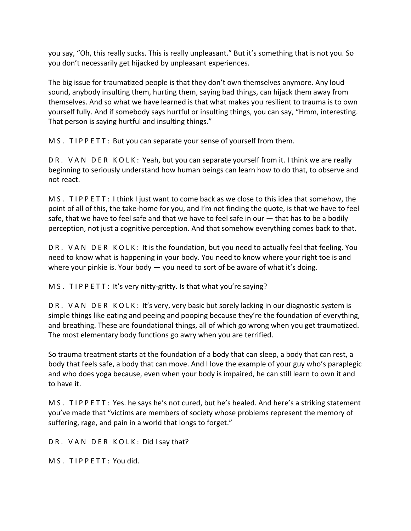you say, "Oh, this really sucks. This is really unpleasant." But it's something that is not you. So you don't necessarily get hijacked by unpleasant experiences.

The big issue for traumatized people is that they don't own themselves anymore. Any loud sound, anybody insulting them, hurting them, saying bad things, can hijack them away from themselves. And so what we have learned is that what makes you resilient to trauma is to own yourself fully. And if somebody says hurtful or insulting things, you can say, "Hmm, interesting. That person is saying hurtful and insulting things."

M S . TIP P E TT: But you can separate your sense of yourself from them.

DR. VAN DER KOLK: Yeah, but you can separate yourself from it. I think we are really beginning to seriously understand how human beings can learn how to do that, to observe and not react.

M S . TIPPETT: I think I just want to come back as we close to this idea that somehow, the point of all of this, the take‐home for you, and I'm not finding the quote, is that we have to feel safe, that we have to feel safe and that we have to feel safe in our — that has to be a bodily perception, not just a cognitive perception. And that somehow everything comes back to that.

DR. VAN DER KOLK: It is the foundation, but you need to actually feel that feeling. You need to know what is happening in your body. You need to know where your right toe is and where your pinkie is. Your body  $-$  you need to sort of be aware of what it's doing.

M S . T I P P E T T : It's very nitty-gritty. Is that what you're saying?

DR. VAN DER KOLK: It's very, very basic but sorely lacking in our diagnostic system is simple things like eating and peeing and pooping because they're the foundation of everything, and breathing. These are foundational things, all of which go wrong when you get traumatized. The most elementary body functions go awry when you are terrified.

So trauma treatment starts at the foundation of a body that can sleep, a body that can rest, a body that feels safe, a body that can move. And I love the example of your guy who's paraplegic and who does yoga because, even when your body is impaired, he can still learn to own it and to have it.

M S . T I P P E T T : Yes. he says he's not cured, but he's healed. And here's a striking statement you've made that "victims are members of society whose problems represent the memory of suffering, rage, and pain in a world that longs to forget."

DR. VAN DER KOLK: Did I say that?

M S. TIPPETT: You did.